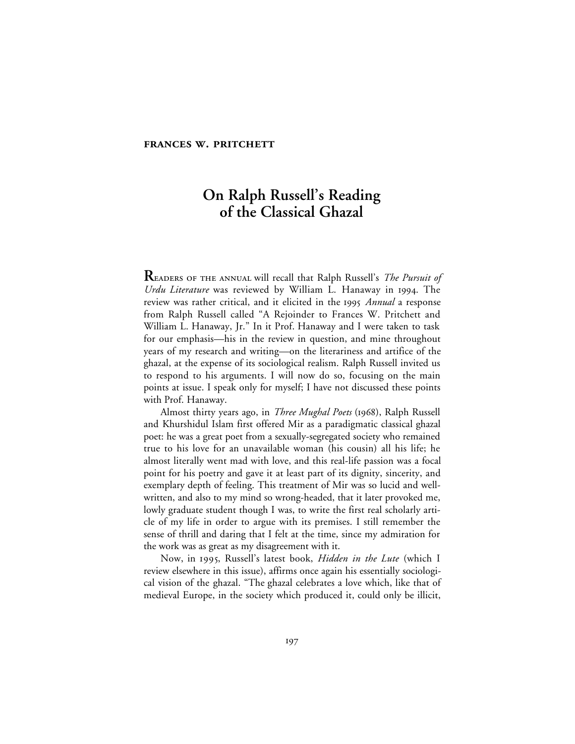## **FRANCES W. PRITCHETT**

# **On Ralph Russell's Reading of the Classical Ghazal**

**READERS OF THE ANNUAL will recall that Ralph Russell's** *The Pursuit of Urdu Literature* was reviewed by William L. Hanaway in 1994. The review was rather critical, and it elicited in the 1995 *Annual* a response from Ralph Russell called "A Rejoinder to Frances W. Pritchett and William L. Hanaway, Jr." In it Prof. Hanaway and I were taken to task for our emphasis—his in the review in question, and mine throughout years of my research and writing—on the literariness and artifice of the ghazal, at the expense of its sociological realism. Ralph Russell invited us to respond to his arguments. I will now do so, focusing on the main points at issue. I speak only for myself; I have not discussed these points with Prof. Hanaway.

Almost thirty years ago, in *Three Mughal Poets* (1968), Ralph Russell and Khurshidul Islam first offered Mir as a paradigmatic classical ghazal poet: he was a great poet from a sexually-segregated society who remained true to his love for an unavailable woman (his cousin) all his life; he almost literally went mad with love, and this real-life passion was a focal point for his poetry and gave it at least part of its dignity, sincerity, and exemplary depth of feeling. This treatment of Mir was so lucid and wellwritten, and also to my mind so wrong-headed, that it later provoked me, lowly graduate student though I was, to write the first real scholarly article of my life in order to argue with its premises. I still remember the sense of thrill and daring that I felt at the time, since my admiration for the work was as great as my disagreement with it.

Now, in 1995, Russell's latest book, *Hidden in the Lute* (which I review elsewhere in this issue), affirms once again his essentially sociological vision of the ghazal. "The ghazal celebrates a love which, like that of medieval Europe, in the society which produced it, could only be illicit,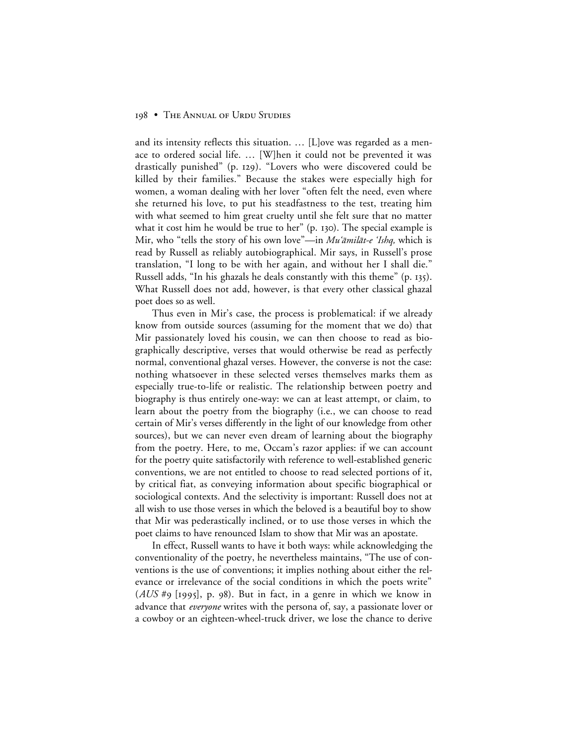#### 198 • THE ANNUAL OF URDU STUDIES

and its intensity reflects this situation. … [L]ove was regarded as a menace to ordered social life. … [W]hen it could not be prevented it was drastically punished" (p. 129). "Lovers who were discovered could be killed by their families." Because the stakes were especially high for women, a woman dealing with her lover "often felt the need, even where she returned his love, to put his steadfastness to the test, treating him with what seemed to him great cruelty until she felt sure that no matter what it cost him he would be true to her"  $(p. 130)$ . The special example is Mir, who "tells the story of his own love"—in *Mu'āmilāt-e 'Ishq*, which is read by Russell as reliably autobiographical. Mir says, in Russell's prose translation, "I long to be with her again, and without her I shall die." Russell adds, "In his ghazals he deals constantly with this theme" (p. 135). What Russell does not add, however, is that every other classical ghazal poet does so as well.

Thus even in Mir's case, the process is problematical: if we already know from outside sources (assuming for the moment that we do) that Mir passionately loved his cousin, we can then choose to read as biographically descriptive, verses that would otherwise be read as perfectly normal, conventional ghazal verses. However, the converse is not the case: nothing whatsoever in these selected verses themselves marks them as especially true-to-life or realistic. The relationship between poetry and biography is thus entirely one-way: we can at least attempt, or claim, to learn about the poetry from the biography (i.e., we can choose to read certain of Mir's verses differently in the light of our knowledge from other sources), but we can never even dream of learning about the biography from the poetry. Here, to me, Occam's razor applies: if we can account for the poetry quite satisfactorily with reference to well-established generic conventions, we are not entitled to choose to read selected portions of it, by critical fiat, as conveying information about specific biographical or sociological contexts. And the selectivity is important: Russell does not at all wish to use those verses in which the beloved is a beautiful boy to show that Mir was pederastically inclined, or to use those verses in which the poet claims to have renounced Islam to show that Mir was an apostate.

In effect, Russell wants to have it both ways: while acknowledging the conventionality of the poetry, he nevertheless maintains, "The use of conventions is the use of conventions; it implies nothing about either the relevance or irrelevance of the social conditions in which the poets write"  $(AUS \# 9 [1995], p. 98)$ . But in fact, in a genre in which we know in advance that *everyone* writes with the persona of, say, a passionate lover or a cowboy or an eighteen-wheel-truck driver, we lose the chance to derive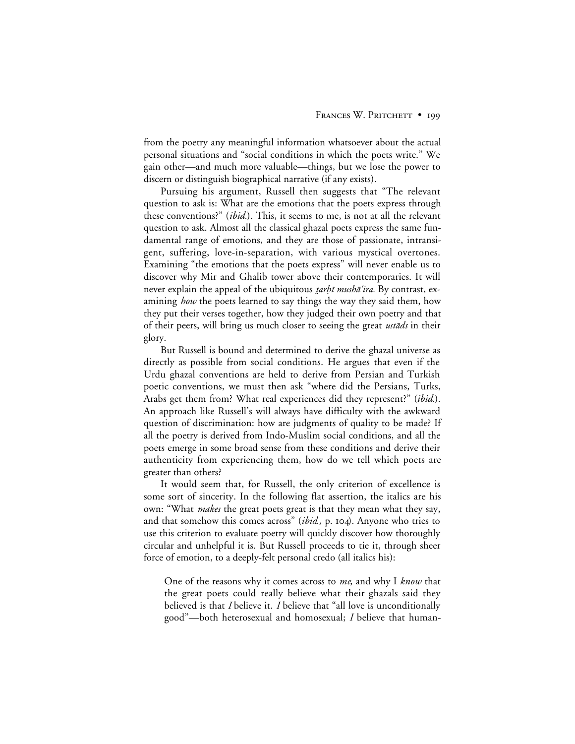from the poetry any meaningful information whatsoever about the actual personal situations and "social conditions in which the poets write." We gain other—and much more valuable—things, but we lose the power to discern or distinguish biographical narrative (if any exists).

Pursuing his argument, Russell then suggests that "The relevant question to ask is: What are the emotions that the poets express through these conventions?" (*ibid.*). This, it seems to me, is not at all the relevant question to ask. Almost all the classical ghazal poets express the same fundamental range of emotions, and they are those of passionate, intransigent, suffering, love-in-separation, with various mystical overtones. Examining "the emotions that the poets express" will never enable us to discover why Mir and Ghalib tower above their contemporaries. It will never explain the appeal of the ubiquitous *tarhī mushā'ira*. By contrast, examining *how* the poets learned to say things the way they said them, how they put their verses together, how they judged their own poetry and that of their peers, will bring us much closer to seeing the great *ustads* in their glory.

But Russell is bound and determined to derive the ghazal universe as directly as possible from social conditions. He argues that even if the Urdu ghazal conventions are held to derive from Persian and Turkish poetic conventions, we must then ask "where did the Persians, Turks, Arabs get them from? What real experiences did they represent?" (*ibid.*). An approach like Russell's will always have difficulty with the awkward question of discrimination: how are judgments of quality to be made? If all the poetry is derived from Indo-Muslim social conditions, and all the poets emerge in some broad sense from these conditions and derive their authenticity from experiencing them, how do we tell which poets are greater than others?

It would seem that, for Russell, the only criterion of excellence is some sort of sincerity. In the following flat assertion, the italics are his own: "What *makes* the great poets great is that they mean what they say, and that somehow this comes across" (*ibid.*, p. 104). Anyone who tries to use this criterion to evaluate poetry will quickly discover how thoroughly circular and unhelpful it is. But Russell proceeds to tie it, through sheer force of emotion, to a deeply-felt personal credo (all italics his):

One of the reasons why it comes across to *me*, and why I *know* that the great poets could really believe what their ghazals said they believed is that *I* believe it. *I* believe that "all love is unconditionally good"—both heterosexual and homosexual; *I* believe that human-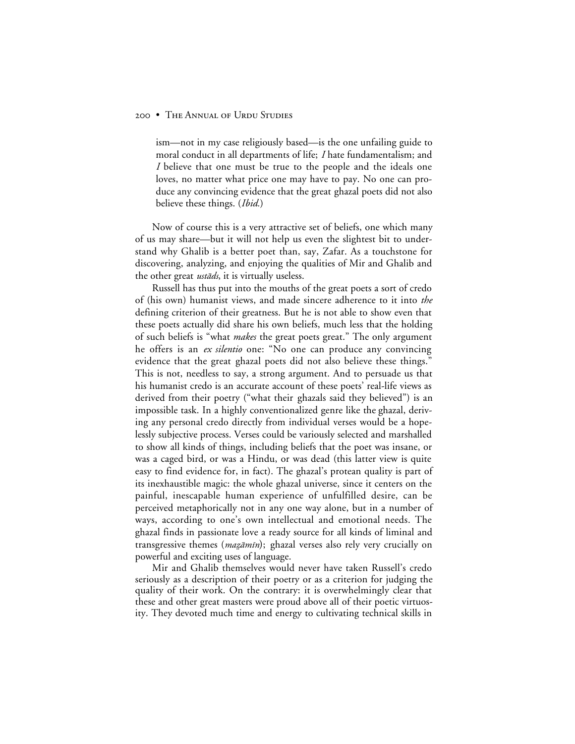## 200 • THE ANNUAL OF URDU STUDIES

ism—not in my case religiously based—is the one unfailing guide to moral conduct in all departments of life; *I* hate fundamentalism; and *I* believe that one must be true to the people and the ideals one loves, no matter what price one may have to pay. No one can produce any convincing evidence that the great ghazal poets did not also believe these things. (*Ibid.*)

Now of course this is a very attractive set of beliefs, one which many of us may share—but it will not help us even the slightest bit to understand why Ghalib is a better poet than, say, Zafar. As a touchstone for discovering, analyzing, and enjoying the qualities of Mir and Ghalib and the other great *ustads*, it is virtually useless.

Russell has thus put into the mouths of the great poets a sort of credo of (his own) humanist views, and made sincere adherence to it into *the* defining criterion of their greatness. But he is not able to show even that these poets actually did share his own beliefs, much less that the holding of such beliefs is "what *makes* the great poets great." The only argument he offers is an *ex silentio* one: "No one can produce any convincing evidence that the great ghazal poets did not also believe these things." This is not, needless to say, a strong argument. And to persuade us that his humanist credo is an accurate account of these poets' real-life views as derived from their poetry ("what their ghazals said they believed") is an impossible task. In a highly conventionalized genre like the ghazal, deriving any personal credo directly from individual verses would be a hopelessly subjective process. Verses could be variously selected and marshalled to show all kinds of things, including beliefs that the poet was insane, or was a caged bird, or was a Hindu, or was dead (this latter view is quite easy to find evidence for, in fact). The ghazal's protean quality is part of its inexhaustible magic: the whole ghazal universe, since it centers on the painful, inescapable human experience of unfulfilled desire, can be perceived metaphorically not in any one way alone, but in a number of ways, according to one's own intellectual and emotional needs. The ghazal finds in passionate love a ready source for all kinds of liminal and transgressive themes (*mazāmīn*); ghazal verses also rely very crucially on powerful and exciting uses of language.

Mir and Ghalib themselves would never have taken Russell's credo seriously as a description of their poetry or as a criterion for judging the quality of their work. On the contrary: it is overwhelmingly clear that these and other great masters were proud above all of their poetic virtuosity. They devoted much time and energy to cultivating technical skills in